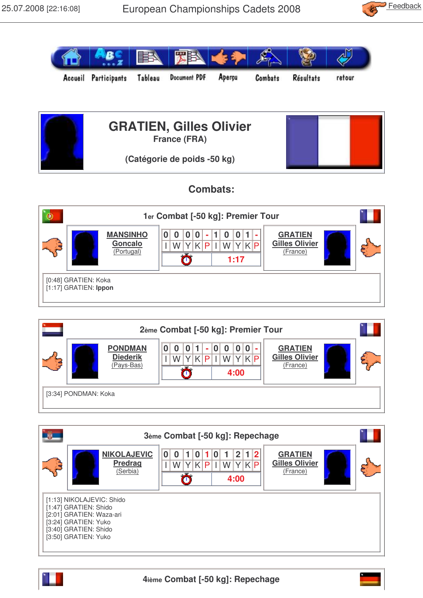





## **Combats:**



| 2ème Combat [-50 kg]: Premier Tour |                                                 |                                                                       |                                                     |  |  |  |  |
|------------------------------------|-------------------------------------------------|-----------------------------------------------------------------------|-----------------------------------------------------|--|--|--|--|
|                                    | <b>PONDMAN</b><br><b>Diederik</b><br>(Pays-Bas) | 0 0 <br>0<br>$\bf{0}$<br>$\Omega$<br>٠<br>WYKP<br>P<br>W<br>Ŧ<br>4:00 | <b>GRATIEN</b><br><b>Gilles Olivier</b><br>(France) |  |  |  |  |
| [3:34] PONDMAN: Koka               |                                                 |                                                                       |                                                     |  |  |  |  |

|                                                                                                                                 | 3ème Combat [-50 kg]: Repechage                  |                                                                  |                                                     |  |  |  |
|---------------------------------------------------------------------------------------------------------------------------------|--------------------------------------------------|------------------------------------------------------------------|-----------------------------------------------------|--|--|--|
|                                                                                                                                 | <b>NIKOLAJEVIC</b><br><b>Predrag</b><br>(Serbia) | 2 <sub>1</sub><br>0<br>U<br>YKP<br>K<br>P<br>W<br>W<br>4:00<br>σ | <b>GRATIEN</b><br><b>Gilles Olivier</b><br>(France) |  |  |  |
| [1:13] NIKOLAJEVIC: Shido<br>[1:47] GRATIEN: Shido<br>[2:01] GRATIEN: Waza-ari<br>[3:24] GRATIEN: Yuko<br>[3:40] GRATIEN: Shido |                                                  |                                                                  |                                                     |  |  |  |
|                                                                                                                                 | [3:50] GRATIEN: Yuko                             |                                                                  |                                                     |  |  |  |